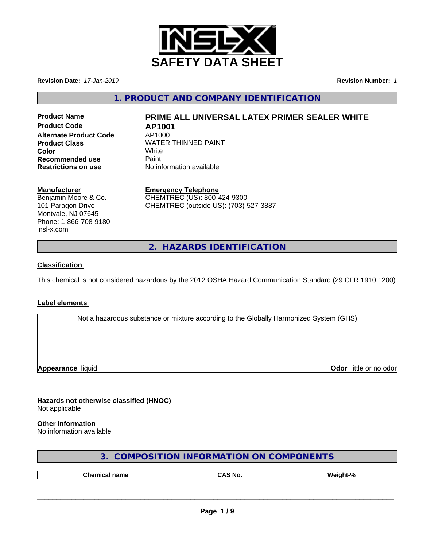

**Revision Date:** *17-Jan-2019* **Revision Number:** *1*

**1. PRODUCT AND COMPANY IDENTIFICATION**

**Product Code AP1001 Alternate Product Code** AP1000 **Recommended use** Paint<br> **Restrictions on use** No inf

# **Product Name PRIME ALL UNIVERSAL LATEX PRIMER SEALER WHITE**

**Product Class WATER THINNED PAINT Color** White White **No information available** 

### **Manufacturer**

Benjamin Moore & Co. 101 Paragon Drive Montvale, NJ 07645 Phone: 1-866-708-9180 insl-x.com

**Emergency Telephone** CHEMTREC (US): 800-424-9300 CHEMTREC (outside US): (703)-527-3887

**2. HAZARDS IDENTIFICATION**

### **Classification**

This chemical is not considered hazardous by the 2012 OSHA Hazard Communication Standard (29 CFR 1910.1200)

### **Label elements**

Not a hazardous substance or mixture according to the Globally Harmonized System (GHS)

**Appearance** liquid

**Odor** little or no odor

**Hazards not otherwise classified (HNOC)** Not applicable

### **Other information**

No information available

| 3. COMPOSITION INFORMATION ON COMPONENTS |  |
|------------------------------------------|--|
|------------------------------------------|--|

| n<br>$\overline{\phantom{a}}$ |     |    |  |
|-------------------------------|-----|----|--|
|                               | 'nО | м. |  |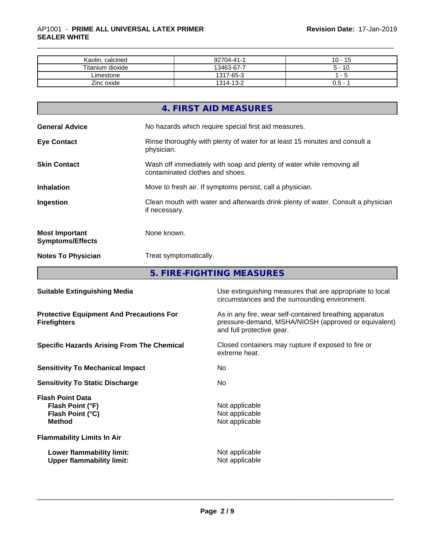| Kaolin, calcined | 92704-41-1 | -15<br>10 -              |
|------------------|------------|--------------------------|
| Titanium dioxide | 13463-67-7 | 10                       |
| _imestone        | 1317-65-3  | $\overline{\phantom{0}}$ |
| Zinc oxide       | 1314-13-2  | J.5 - 1                  |

|                                                  | 4. FIRST AID MEASURES                                                                                    |
|--------------------------------------------------|----------------------------------------------------------------------------------------------------------|
| <b>General Advice</b>                            | No hazards which require special first aid measures.                                                     |
| <b>Eye Contact</b>                               | Rinse thoroughly with plenty of water for at least 15 minutes and consult a<br>physician.                |
| <b>Skin Contact</b>                              | Wash off immediately with soap and plenty of water while removing all<br>contaminated clothes and shoes. |
| <b>Inhalation</b>                                | Move to fresh air. If symptoms persist, call a physician.                                                |
| Ingestion                                        | Clean mouth with water and afterwards drink plenty of water. Consult a physician<br>if necessary.        |
| <b>Most Important</b><br><b>Symptoms/Effects</b> | None known.                                                                                              |
| <b>Notes To Physician</b>                        | Treat symptomatically.                                                                                   |
|                                                  | <b>FIDE FIQUEINO ME AQUIDEC</b>                                                                          |

**5. FIRE-FIGHTING MEASURES**

| As in any fire, wear self-contained breathing apparatus<br><b>Protective Equipment And Precautions For</b><br>pressure-demand, MSHA/NIOSH (approved or equivalent)<br><b>Firefighters</b><br>and full protective gear. |
|------------------------------------------------------------------------------------------------------------------------------------------------------------------------------------------------------------------------|
| <b>Specific Hazards Arising From The Chemical</b><br>Closed containers may rupture if exposed to fire or<br>extreme heat.                                                                                              |
| <b>Sensitivity To Mechanical Impact</b><br>No.                                                                                                                                                                         |
| No.<br><b>Sensitivity To Static Discharge</b>                                                                                                                                                                          |
| <b>Flash Point Data</b><br>Not applicable<br>Flash Point (°F)<br>Not applicable<br>Flash Point (°C)<br><b>Method</b><br>Not applicable                                                                                 |
| <b>Flammability Limits In Air</b>                                                                                                                                                                                      |
| Lower flammability limit:<br>Not applicable<br>Not applicable<br><b>Upper flammability limit:</b>                                                                                                                      |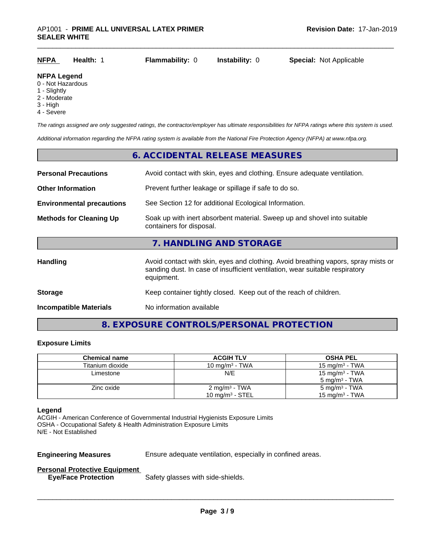| <b>Special: Not Applicable</b><br><b>NFPA</b><br><b>Flammability: 0</b><br><b>Instability:</b> 0<br><b>Health: 1</b> |
|----------------------------------------------------------------------------------------------------------------------|
|----------------------------------------------------------------------------------------------------------------------|

### **NFPA Legend**

- 0 Not Hazardous
- 1 Slightly
- 2 Moderate
- 3 High
- 4 Severe

*The ratings assigned are only suggested ratings, the contractor/employer has ultimate responsibilities for NFPA ratings where this system is used.*

*Additional information regarding the NFPA rating system is available from the National Fire Protection Agency (NFPA) at www.nfpa.org.*

## **6. ACCIDENTAL RELEASE MEASURES Personal Precautions** Avoid contact with skin, eyes and clothing. Ensure adequate ventilation. **Other Information** Prevent further leakage or spillage if safe to do so. **Environmental precautions** See Section 12 for additional Ecological Information. **Methods for Cleaning Up** Soak up with inert absorbent material. Sweep up and shovel into suitable containers for disposal. **7. HANDLING AND STORAGE** Handling **Handling** Avoid contact with skin, eyes and clothing. Avoid breathing vapors, spray mists or sanding dust. In case of insufficient ventilation, wear suitable respiratory equipment. **Storage Storage Keep container tightly closed. Keep out of the reach of children. Incompatible Materials** No information available

### **8. EXPOSURE CONTROLS/PERSONAL PROTECTION**

### **Exposure Limits**

| <b>Chemical name</b> | <b>ACGIH TLV</b>            | <b>OSHA PEL</b>            |
|----------------------|-----------------------------|----------------------------|
| Titanium dioxide     | 10 mg/m $3$ - TWA           | 15 mg/m $3$ - TWA          |
| Limestone            | N/E                         | 15 mg/m <sup>3</sup> - TWA |
|                      |                             | $5 \text{ mg/m}^3$ - TWA   |
| Zinc oxide           | $2 \text{ mg/m}^3$ - TWA    | $5 \text{ mg/m}^3$ - TWA   |
|                      | 10 mg/m <sup>3</sup> - STEL | 15 mg/m $3$ - TWA          |

### **Legend**

ACGIH - American Conference of Governmental Industrial Hygienists Exposure Limits OSHA - Occupational Safety & Health Administration Exposure Limits N/E - Not Established

**Engineering Measures** Ensure adequate ventilation, especially in confined areas.

 $\overline{\phantom{a}}$  ,  $\overline{\phantom{a}}$  ,  $\overline{\phantom{a}}$  ,  $\overline{\phantom{a}}$  ,  $\overline{\phantom{a}}$  ,  $\overline{\phantom{a}}$  ,  $\overline{\phantom{a}}$  ,  $\overline{\phantom{a}}$  ,  $\overline{\phantom{a}}$  ,  $\overline{\phantom{a}}$  ,  $\overline{\phantom{a}}$  ,  $\overline{\phantom{a}}$  ,  $\overline{\phantom{a}}$  ,  $\overline{\phantom{a}}$  ,  $\overline{\phantom{a}}$  ,  $\overline{\phantom{a}}$ 

### **Personal Protective Equipment**

**Eye/Face Protection** Safety glasses with side-shields.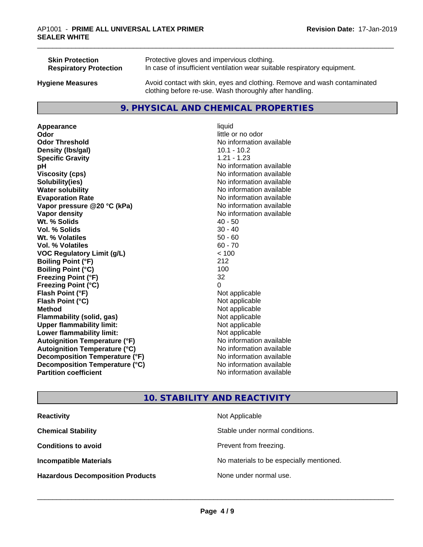| <b>Skin Protection</b>        | Protective gloves and impervious clothing.                                                                                          |
|-------------------------------|-------------------------------------------------------------------------------------------------------------------------------------|
| <b>Respiratory Protection</b> | In case of insufficient ventilation wear suitable respiratory equipment.                                                            |
| <b>Hygiene Measures</b>       | Avoid contact with skin, eyes and clothing. Remove and wash contaminated<br>clothing before re-use. Wash thoroughly after handling. |

### **9. PHYSICAL AND CHEMICAL PROPERTIES**

**Appearance** liquid **Odor** little or no odor **Odor Threshold** No information available **Density (lbs/gal)** 10.1 - 10.2<br> **Specific Gravity** 1.21 - 1.23 **Specific Gravity pH pH**  $\blacksquare$ **Viscosity (cps)** No information available<br> **Solubility (ies)** No information available<br>
No information available **Water solubility** No information available **Evaporation Rate No information available No information available Vapor pressure @20 °C (kPa)** No information available **Vapor density No information available No information available Wt. % Solids** 40 - 50<br> **Vol. % Solids** 30 - 40 **Vol. % Solids W<sub>t.</sub>** % Volatiles 50 - 60 **Vol. % Volatiles** 60 - 70 **VOC Regulatory Limit (g/L)** < 100 **Boiling Point (°F)** 212 **Boiling Point**  $(^{\circ}C)$  100 **Freezing Point (°F)** 32 **Freezing Point (°C)** 0 **Flash Point (°F)** Not applicable **Flash Point (°C)** Not applicable **Method** Not applicable<br> **Flammability (solid, gas)** Not applicable Not applicable **Flammability** (solid, gas) **Upper flammability limit:**<br> **Lower flammability limit:** Not applicable Not applicable **Lower flammability limit:**<br> **Autoignition Temperature (°F)** Not applicable havailable **Autoignition Temperature (°F) Autoignition Temperature (°C)** No information available **Decomposition Temperature (°F)** No information available **Decomposition Temperature (°C)**<br> **Partition coefficient**<br> **Partition coefficient**<br> **No** information available

# **Solubility(ies)** No information available **No information available**

### **10. STABILITY AND REACTIVITY**

| <b>Reactivity</b>                       | Not Applicable                           |
|-----------------------------------------|------------------------------------------|
| <b>Chemical Stability</b>               | Stable under normal conditions.          |
| <b>Conditions to avoid</b>              | Prevent from freezing.                   |
| <b>Incompatible Materials</b>           | No materials to be especially mentioned. |
| <b>Hazardous Decomposition Products</b> | None under normal use.                   |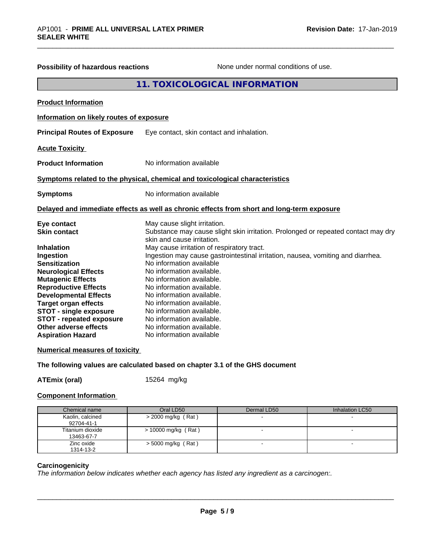| Possibility of hazardous reactions                                                                                                                                                                                                                                                                                                                                             | None under normal conditions of use.                                                                                                                                                                                                                                                                                                                                                                                                                                                                                                                                             |
|--------------------------------------------------------------------------------------------------------------------------------------------------------------------------------------------------------------------------------------------------------------------------------------------------------------------------------------------------------------------------------|----------------------------------------------------------------------------------------------------------------------------------------------------------------------------------------------------------------------------------------------------------------------------------------------------------------------------------------------------------------------------------------------------------------------------------------------------------------------------------------------------------------------------------------------------------------------------------|
|                                                                                                                                                                                                                                                                                                                                                                                | 11. TOXICOLOGICAL INFORMATION                                                                                                                                                                                                                                                                                                                                                                                                                                                                                                                                                    |
| <b>Product Information</b>                                                                                                                                                                                                                                                                                                                                                     |                                                                                                                                                                                                                                                                                                                                                                                                                                                                                                                                                                                  |
| Information on likely routes of exposure                                                                                                                                                                                                                                                                                                                                       |                                                                                                                                                                                                                                                                                                                                                                                                                                                                                                                                                                                  |
| <b>Principal Routes of Exposure</b>                                                                                                                                                                                                                                                                                                                                            | Eye contact, skin contact and inhalation.                                                                                                                                                                                                                                                                                                                                                                                                                                                                                                                                        |
| <b>Acute Toxicity</b>                                                                                                                                                                                                                                                                                                                                                          |                                                                                                                                                                                                                                                                                                                                                                                                                                                                                                                                                                                  |
| <b>Product Information</b>                                                                                                                                                                                                                                                                                                                                                     | No information available                                                                                                                                                                                                                                                                                                                                                                                                                                                                                                                                                         |
|                                                                                                                                                                                                                                                                                                                                                                                | Symptoms related to the physical, chemical and toxicological characteristics                                                                                                                                                                                                                                                                                                                                                                                                                                                                                                     |
| <b>Symptoms</b>                                                                                                                                                                                                                                                                                                                                                                | No information available                                                                                                                                                                                                                                                                                                                                                                                                                                                                                                                                                         |
|                                                                                                                                                                                                                                                                                                                                                                                | Delayed and immediate effects as well as chronic effects from short and long-term exposure                                                                                                                                                                                                                                                                                                                                                                                                                                                                                       |
| Eye contact<br><b>Skin contact</b><br><b>Inhalation</b><br>Ingestion<br><b>Sensitization</b><br><b>Neurological Effects</b><br><b>Mutagenic Effects</b><br><b>Reproductive Effects</b><br><b>Developmental Effects</b><br><b>Target organ effects</b><br><b>STOT - single exposure</b><br><b>STOT - repeated exposure</b><br>Other adverse effects<br><b>Aspiration Hazard</b> | May cause slight irritation.<br>Substance may cause slight skin irritation. Prolonged or repeated contact may dry<br>skin and cause irritation.<br>May cause irritation of respiratory tract.<br>Ingestion may cause gastrointestinal irritation, nausea, vomiting and diarrhea.<br>No information available<br>No information available.<br>No information available.<br>No information available.<br>No information available.<br>No information available.<br>No information available.<br>No information available.<br>No information available.<br>No information available |
| <b>Numerical measures of toxicity</b>                                                                                                                                                                                                                                                                                                                                          |                                                                                                                                                                                                                                                                                                                                                                                                                                                                                                                                                                                  |
|                                                                                                                                                                                                                                                                                                                                                                                | The following values are calculated based on chapter 3.1 of the GHS document                                                                                                                                                                                                                                                                                                                                                                                                                                                                                                     |

**ATEmix (oral)** 15264 mg/kg

### **Component Information**

| Chemical name                  | Oral LD50             | Dermal LD50 | Inhalation LC50 |
|--------------------------------|-----------------------|-------------|-----------------|
| Kaolin, calcined<br>92704-41-1 | $>$ 2000 mg/kg (Rat)  |             |                 |
| Titanium dioxide<br>13463-67-7 | $> 10000$ mg/kg (Rat) |             |                 |
| Zinc oxide<br>1314-13-2        | $>$ 5000 mg/kg (Rat)  |             |                 |

### **Carcinogenicity**

*The information below indicateswhether each agency has listed any ingredient as a carcinogen:.*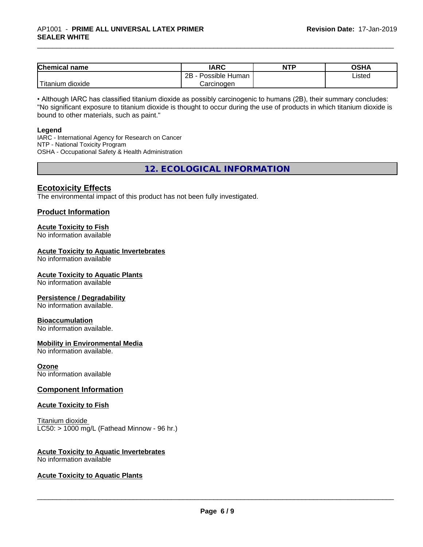| <b>Chemical name</b>    | <b>IARC</b>          | <b>NTP</b> | <b>OSHA</b> |
|-------------------------|----------------------|------------|-------------|
|                         | 2B<br>Possible Human |            | Listed      |
| 'Titanium<br>.n dioxide | Carcinoɑen           |            |             |

• Although IARC has classified titanium dioxide as possibly carcinogenic to humans (2B), their summary concludes: "No significant exposure to titanium dioxide is thought to occur during the use of products in which titanium dioxide is bound to other materials, such as paint."

### **Legend**

IARC - International Agency for Research on Cancer NTP - National Toxicity Program OSHA - Occupational Safety & Health Administration

**12. ECOLOGICAL INFORMATION**

### **Ecotoxicity Effects**

The environmental impact of this product has not been fully investigated.

### **Product Information**

### **Acute Toxicity to Fish**

No information available

### **Acute Toxicity to Aquatic Invertebrates**

No information available

### **Acute Toxicity to Aquatic Plants**

No information available

### **Persistence / Degradability**

No information available.

### **Bioaccumulation**

No information available.

### **Mobility in Environmental Media**

No information available.

### **Ozone**

No information available

### **Component Information**

### **Acute Toxicity to Fish**

Titanium dioxide  $LC50:$  > 1000 mg/L (Fathead Minnow - 96 hr.)

### **Acute Toxicity to Aquatic Invertebrates**

No information available

### **Acute Toxicity to Aquatic Plants**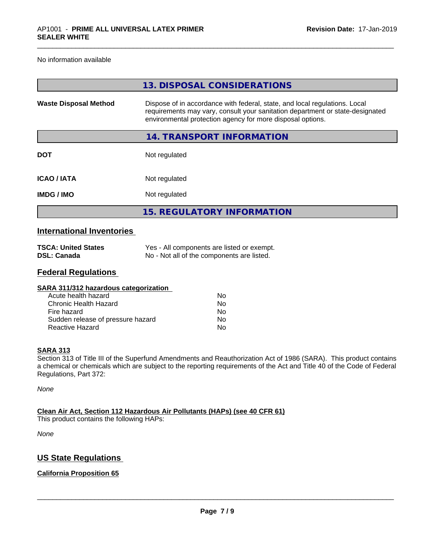No information available

|                              | 13. DISPOSAL CONSIDERATIONS                                                                                                                                                                                               |
|------------------------------|---------------------------------------------------------------------------------------------------------------------------------------------------------------------------------------------------------------------------|
| <b>Waste Disposal Method</b> | Dispose of in accordance with federal, state, and local regulations. Local<br>requirements may vary, consult your sanitation department or state-designated<br>environmental protection agency for more disposal options. |
|                              | 14. TRANSPORT INFORMATION                                                                                                                                                                                                 |
| <b>DOT</b>                   | Not regulated                                                                                                                                                                                                             |
| <b>ICAO/IATA</b>             | Not regulated                                                                                                                                                                                                             |
| <b>IMDG/IMO</b>              | Not regulated                                                                                                                                                                                                             |
|                              | <b>15. REGULATORY INFORMATION</b>                                                                                                                                                                                         |

### **International Inventories**

| <b>TSCA: United States</b> | Yes - All components are listed or exempt. |
|----------------------------|--------------------------------------------|
| DSL: Canada                | No - Not all of the components are listed. |

### **Federal Regulations**

| SARA 311/312 hazardous categorization |    |  |
|---------------------------------------|----|--|
| Acute health hazard                   | Nο |  |
| <b>Chronic Health Hazard</b>          | Nο |  |
| Fire hazard                           | Nο |  |
| Sudden release of pressure hazard     | No |  |
| <b>Reactive Hazard</b>                | No |  |

### **SARA 313**

Section 313 of Title III of the Superfund Amendments and Reauthorization Act of 1986 (SARA). This product contains a chemical or chemicals which are subject to the reporting requirements of the Act and Title 40 of the Code of Federal Regulations, Part 372:

*None*

**Clean Air Act,Section 112 Hazardous Air Pollutants (HAPs) (see 40 CFR 61)** This product contains the following HAPs:

*None*

### **US State Regulations**

### **California Proposition 65**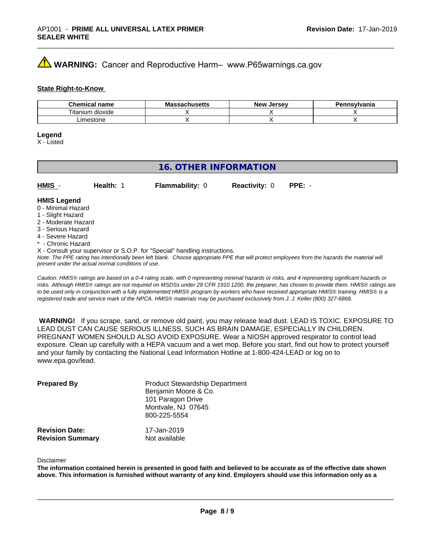### **AVIMARNING:** Cancer and Reproductive Harm– www.P65warnings.ca.gov

### **State Right-to-Know**

| <b>Chemical</b><br>' name          | IVIC<br>avnustus | <b>Jerse</b> v<br><b>Nev</b> | าทรงIvania |
|------------------------------------|------------------|------------------------------|------------|
| $-$<br><br>um<br>dioxide<br>ાtanıเ |                  |                              |            |
| m<br>סו וטופ:                      |                  |                              |            |

### **Legend**

X - Listed

### **16. OTHER INFORMATION**

| HMIS                | <b>Health:</b> | <b>Flammability: 0</b> | <b>Reactivity: 0</b> | $PPE: -$ |  |
|---------------------|----------------|------------------------|----------------------|----------|--|
| <b>LIMIC Logand</b> |                |                        |                      |          |  |

### **HMIS Legend** 0 - Minimal Hazard

- 1 Slight Hazard
- 2 Moderate Hazard
- 3 Serious Hazard
- 4 Severe Hazard
- \* Chronic Hazard
- X Consult your supervisor or S.O.P. for "Special" handling instructions.

*Note: The PPE rating has intentionally been left blank. Choose appropriate PPE that will protect employees from the hazards the material will present under the actual normal conditions of use.*

*Caution: HMISÒ ratings are based on a 0-4 rating scale, with 0 representing minimal hazards or risks, and 4 representing significant hazards or risks. Although HMISÒ ratings are not required on MSDSs under 29 CFR 1910.1200, the preparer, has chosen to provide them. HMISÒ ratings are to be used only in conjunction with a fully implemented HMISÒ program by workers who have received appropriate HMISÒ training. HMISÒ is a registered trade and service mark of the NPCA. HMISÒ materials may be purchased exclusively from J. J. Keller (800) 327-6868.*

 **WARNING!** If you scrape, sand, or remove old paint, you may release lead dust. LEAD IS TOXIC. EXPOSURE TO LEAD DUST CAN CAUSE SERIOUS ILLNESS, SUCH AS BRAIN DAMAGE, ESPECIALLY IN CHILDREN. PREGNANT WOMEN SHOULD ALSO AVOID EXPOSURE.Wear a NIOSH approved respirator to control lead exposure. Clean up carefully with a HEPA vacuum and a wet mop. Before you start, find out how to protect yourself and your family by contacting the National Lead Information Hotline at 1-800-424-LEAD or log on to www.epa.gov/lead.

| <b>Prepared By</b>                               | <b>Product Stewardship Department</b><br>Benjamin Moore & Co.<br>101 Paragon Drive<br>Montvale, NJ 07645<br>800-225-5554 |  |
|--------------------------------------------------|--------------------------------------------------------------------------------------------------------------------------|--|
| <b>Revision Date:</b><br><b>Revision Summary</b> | 17-Jan-2019<br>Not available                                                                                             |  |

### Disclaimer

The information contained herein is presented in good faith and believed to be accurate as of the effective date shown above. This information is furnished without warranty of any kind. Employers should use this information only as a